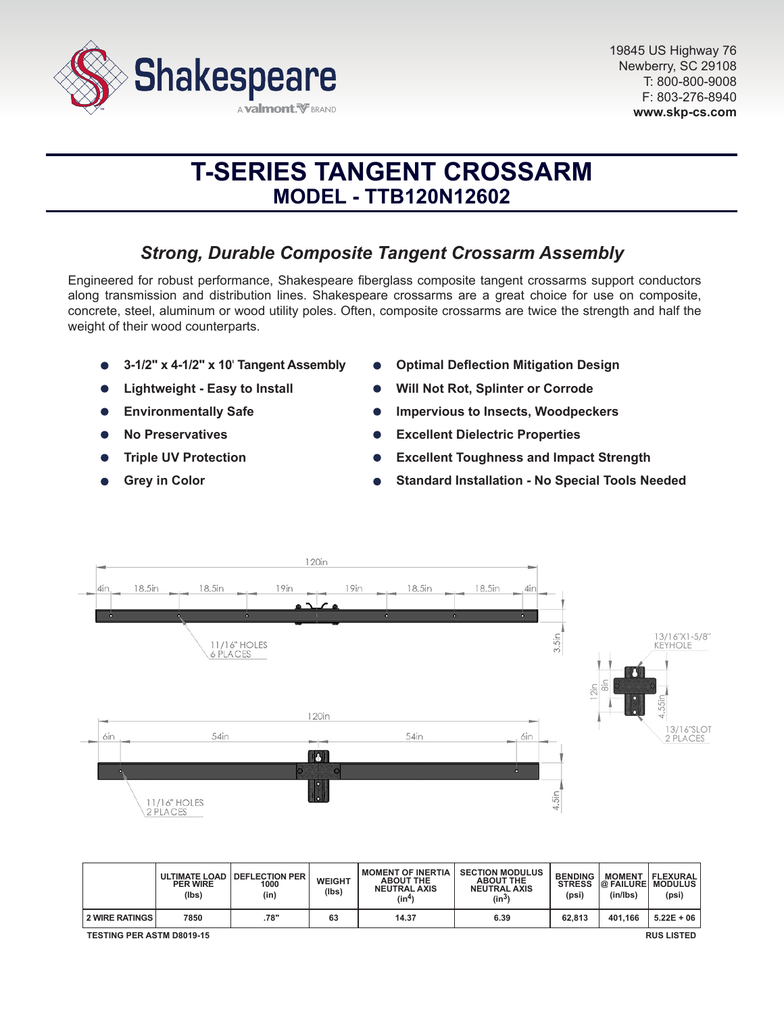

# **T-SERIES TANGENT CROSSARM MODEL - TTB120N12602**

# *Strong, Durable Composite Tangent Crossarm Assembly*

Engineered for robust performance, Shakespeare fiberglass composite tangent crossarms support conductors along transmission and distribution lines. Shakespeare crossarms are a great choice for use on composite, concrete, steel, aluminum or wood utility poles. Often, composite crossarms are twice the strength and half the weight of their wood counterparts.

- **3-1/2" x 4-1/2" x 10**' **Tangent Assembly**
- **Lightweight Easy to Install**
- **Environmentally Safe**  $\bullet$
- **No Preservatives**
- **Triple UV Protection**
- **Grey in Color**
- **Optimal Deflection Mitigation Design**
- **Will Not Rot, Splinter or Corrode**
- **Impervious to Insects, Woodpeckers**
- **Excellent Dielectric Properties**
- **Excellent Toughness and Impact Strength**
- **Standard Installation No Special Tools Needed**



|                                                       | <b>PER WIRE</b><br>(lbs) | ULTIMATE LOAD   DEFLECTION PER<br>1000<br>(in) | WEIGHT<br>(Ibs) | <b>MOMENT OF INERTIA</b><br><b>ABOUT THE</b><br><b>NEUTRAL AXIS</b><br>(in <sup>4</sup> ) | <b>SECTION MODULUS</b><br><b>ABOUT THE</b><br><b>NEUTRAL AXIS</b><br>$(in^3)$ | <b>BENDING</b><br><b>STRESS</b><br>(psi) | <b>MOMENT</b><br><b>@ FAILURE MODULUS</b><br>(in/lbs) | <b>FLEXURAL</b><br>(psi) |
|-------------------------------------------------------|--------------------------|------------------------------------------------|-----------------|-------------------------------------------------------------------------------------------|-------------------------------------------------------------------------------|------------------------------------------|-------------------------------------------------------|--------------------------|
| <b>2 WIRE RATINGS</b>                                 | 7850                     | .78"                                           | 63              | 14.37                                                                                     | 6.39                                                                          | 62.813                                   | 401.166                                               | $5.22E + 06$             |
| <b>TESTING PER ASTM D8019-15</b><br><b>RUS LISTED</b> |                          |                                                |                 |                                                                                           |                                                                               |                                          |                                                       |                          |